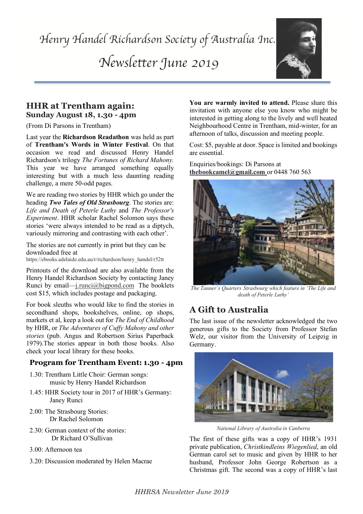*Newsletter June 2019*



### **HHR at Trentham again: Sunday August 18, 1.30 - 4pm**

(From Di Parsons in Trentham)

Last year the **Richardson Readathon** was held as part of **Trentham's Words in Winter Festival**. On that occasion we read and discussed Henry Handel Richardson's trilogy *The Fortunes of Richard Mahony.* This year we have arranged something equally interesting but with a much less daunting reading challenge, a mere 50-odd pages.

Life and Death of Peterle Luthy and The Professor's We are reading two stories by HHR which go under the heading *Two Tales of Old Strasbourg*. The stories are: *Experiment*. HHR scholar Rachel Solomon says these stories 'were always intended to be read as a diptych, variously mirroring and contrasting with each other'.

The stories are not currently in print but they can be downloaded free at

https://ebooks.adelaide.edu.au/r/richardson/henry\_handel/r52tt

Printouts of the download are also available from the Henry Handel Richardson Society by contacting Janey Runci by email—j.runci@bigpond.com The booklets cost \$15, which includes postage and packaging.

For book sleuths who would like to find the stories in secondhand shops, bookshelves, online, op shops, markets et al, keep a look out for *The End of Childhood* by HHR, or *The Adventures of Cuffy Mahony and other stories* (pub. Angus and Robertson Sirius Paperback 1979).The stories appear in both those books. Also check your local library for these books.

### **Program for Trentham Event: 1.30 - 4pm**

- 1.30: Trentham Little Choir: German songs: music by Henry Handel Richardson
- 1.45: HHR Society tour in 2017 of HHR's Germany: Janey Runci
- 2.00: The Strasbourg Stories: Dr Rachel Solomon
- 2.30: German context of the stories: Dr Richard O'Sullivan
- 3.00: Afternoon tea
- 3.20: Discussion moderated by Helen Macrae

**You are warmly invited to attend.** Please share this invitation with anyone else you know who might be interested in getting along to the lively and well heated Neighbourhood Centre in Trentham, mid-winter, for an afternoon of talks, discussion and meeting people.

Cost: \$5, payable at door. Space is limited and bookings are essential.

Enquiries/bookings: Di Parsons at **thebookcamel@gmail.com** or 0448 760 563



*The Tanner's Quarters Strasbourg which feature in 'The Life and death of Peterle Luthy'*

# **A Gift to Australia**

The last issue of the newsletter acknowledged the two generous gifts to the Society from Professor Stefan Welz, our visitor from the University of Leipzig in Germany.



*National Library of Australia in Canberra*

The first of these gifts was a copy of HHR's 1931 private publication, *Christkindleins Wiegenlied*, an old German carol set to music and given by HHR to her husband, Professor John George Robertson as a Christmas gift. The second was a copy of HHR's last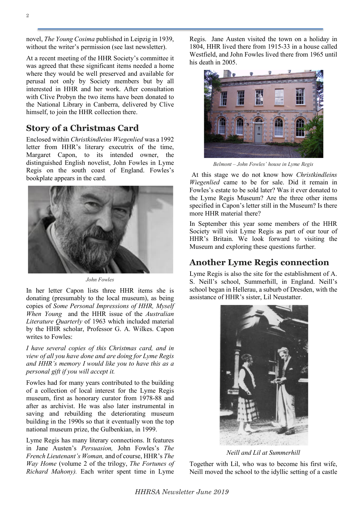novel, *The Young Cosima* published in Leipzig in 1939, without the writer's permission (see last newsletter).

At a recent meeting of the HHR Society's committee it was agreed that these significant items needed a home where they would be well preserved and available for perusal not only by Society members but by all interested in HHR and her work. After consultation with Clive Probyn the two items have been donated to the National Library in Canberra, delivered by Clive himself, to join the HHR collection there.

# **Story of a Christmas Card**

Enclosed within *Christkindleins Wiegenlied* was a 1992 letter from HHR's literary executrix of the time, Margaret Capon, to its intended owner, the distinguished English novelist, John Fowles in Lyme Regis on the south coast of England. Fowles's bookplate appears in the card.



*John Fowles*

In her letter Capon lists three HHR items she is donating (presumably to the local museum), as being copies of *Some Personal Impressions of HHR, Myself When Young* and the HHR issue of the *Australian Literature Quarterly* of 1963 which included material by the HHR scholar, Professor G. A. Wilkes. Capon writes to Fowles:

*I have several copies of this Christmas card, and in view of all you have done and are doing for Lyme Regis and HHR's memory I would like you to have this as a personal gift if you will accept it.*

Fowles had for many years contributed to the building of a collection of local interest for the Lyme Regis museum, first as honorary curator from 1978-88 and after as archivist. He was also later instrumental in saving and rebuilding the deteriorating museum building in the 1990s so that it eventually won the top national museum prize, the Gulbenkian, in 1999.

Lyme Regis has many literary connections. It features in Jane Austen's *Persuasion,* John Fowles's *The French Lieutenant's Woman,* and of course, HHR's *The Way Home* (volume 2 of the trilogy, *The Fortunes of Richard Mahony).* Each writer spent time in Lyme

Regis. Jane Austen visited the town on a holiday in 1804, HHR lived there from 1915-33 in a house called Westfield, and John Fowles lived there from 1965 until his death in 2005.



*Belmont – John Fowles' house in Lyme Regis*

At this stage we do not know how *Christkindleins Wiegenlied* came to be for sale. Did it remain in Fowles's estate to be sold later? Was it ever donated to the Lyme Regis Museum? Are the three other items specified in Capon's letter still in the Museum? Is there more HHR material there?

In September this year some members of the HHR Society will visit Lyme Regis as part of our tour of HHR's Britain. We look forward to visiting the Museum and exploring these questions further.

# **Another Lyme Regis connection**

Lyme Regis is also the site for the establishment of A. S. Neill's school, Summerhill, in England. Neill's school began in Hellerau, a suburb of Dresden, with the assistance of HHR's sister, Lil Neustatter.



*Neill and Lil at Summerhill*

Together with Lil, who was to become his first wife, Neill moved the school to the idyllic setting of a castle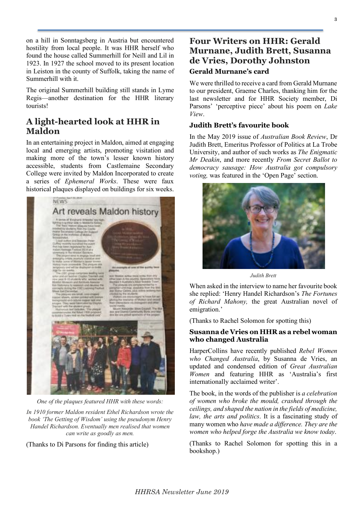on a hill in Sonntagsberg in Austria but encountered hostility from local people. It was HHR herself who found the house called Summerhill for Neill and Lil in 1923. In 1927 the school moved to its present location in Leiston in the county of Suffolk, taking the name of Summerhill with it.

The original Summerhill building still stands in Lyme Regis—another destination for the HHR literary tourists!

# **A light-hearted look at HHR in Maldon**

In an entertaining project in Maldon, aimed at engaging local and emerging artists, promoting visitation and making more of the town's lesser known history accessible, students from Castlemaine Secondary College were invited by Maldon Incorporated to create a series of *Ephemeral Works*. These were faux historical plaques displayed on buildings for six weeks.



*One of the plaques featured HHR with these words:*

*In 1910 former Maldon resident Ethel Richardson wrote the book 'The Getting of Wisdom' using the pseudonym Henry Handel Richardson. Eventually men realised that women can write as goodly as men.*

(Thanks to Di Parsons for finding this article)

### **Four Writers on HHR: Gerald Murnane, Judith Brett, Susanna de Vries, Dorothy Johnston Gerald Murnane's card**

We were thrilled to receive a card from Gerald Murnane to our president, Graeme Charles, thanking him for the last newsletter and for HHR Society member, Di Parsons' 'perceptive piece' about his poem on *Lake View*.

#### **Judith Brett's favourite book**

In the May 2019 issue of *Australian Book Review*, Dr Judith Brett, Emeritus Professor of Politics at La Trobe University, and author of such works as *The Enigmatic Mr Deakin*, and more recently *From Secret Ballot to democracy sausage: How Australia got compulsory voting,* was featured in the 'Open Page' section.



*Judith Brett*

When asked in the interview to name her favourite book she replied: 'Henry Handel Richardson's *The Fortunes of Richard Mahony,* the great Australian novel of emigration.'

(Thanks to Rachel Solomon for spotting this)

#### **Susanna de Vries on HHR as a rebel woman who changed Australia**

HarperCollins have recently published *Rebel Women who Changed Australia*, by Susanna de Vries, an updated and condensed edition of *Great Australian Women* and featuring HHR as 'Australia's first internationally acclaimed writer'.

The book, in the words of the publisher is *a celebration of women who broke the mould, crashed through the ceilings, and shaped the nation in the fields of medicine, law, the arts and politics*. It is a fascinating study of many women who *have made a difference. They are the women who helped forge the Australia we know today*.

(Thanks to Rachel Solomon for spotting this in a bookshop.)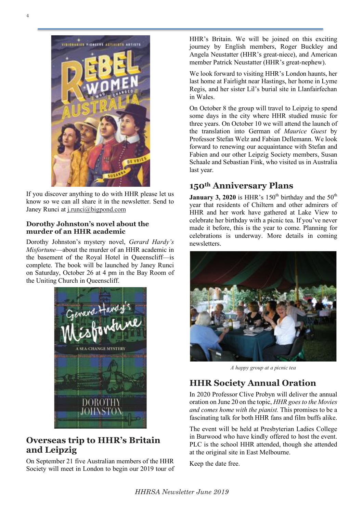

If you discover anything to do with HHR please let us know so we can all share it in the newsletter. Send to Janey Runci at j.runci@bigpond.com

#### **Dorothy Johnston's novel about the murder of an HHR academic**

Dorothy Johnston's mystery novel, *Gerard Hardy's Misfortune*—about the murder of an HHR academic in the basement of the Royal Hotel in Queenscliff—is complete. The book will be launched by Janey Runci on Saturday, October 26 at 4 pm in the Bay Room of the Uniting Church in Queenscliff.



### **Overseas trip to HHR's Britain and Leipzig**

On September 21 five Australian members of the HHR Society will meet in London to begin our 2019 tour of HHR's Britain. We will be joined on this exciting journey by English members, Roger Buckley and Angela Neustatter (HHR's great-niece), and American member Patrick Neustatter (HHR's great-nephew).

We look forward to visiting HHR's London haunts, her last home at Fairlight near Hastings, her home in Lyme Regis, and her sister Lil's burial site in Llanfairfechan in Wales.

On October 8 the group will travel to Leipzig to spend some days in the city where HHR studied music for three years. On October 10 we will attend the launch of the translation into German of *Maurice Guest* by Professor Stefan Welz and Fabian Dellemann. We look forward to renewing our acquaintance with Stefan and Fabien and our other Leipzig Society members, Susan Schaale and Sebastian Fink, who visited us in Australia last year.

# **150th Anniversary Plans**

**January 3, 2020** is HHR's  $150<sup>th</sup>$  birthday and the  $50<sup>th</sup>$ year that residents of Chiltern and other admirers of HHR and her work have gathered at Lake View to celebrate her birthday with a picnic tea. If you've never made it before, this is the year to come. Planning for celebrations is underway. More details in coming newsletters.



*A happy group at a picnic tea*

# **HHR Society Annual Oration**

In 2020 Professor Clive Probyn will deliver the annual oration on June 20 on the topic, *HHR goes to the Movies and comes home with the pianist.* This promises to be a fascinating talk for both HHR fans and film buffs alike.

The event will be held at Presbyterian Ladies College in Burwood who have kindly offered to host the event. PLC is the school HHR attended, though she attended at the original site in East Melbourne.

Keep the date free.